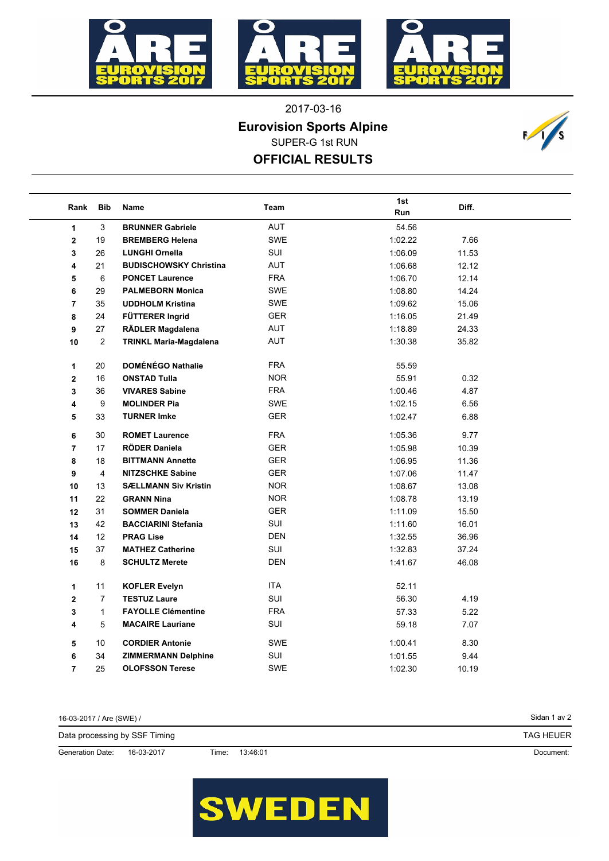





2017-03-16 SUPER-G 1st RUN **Eurovision Sports Alpine**

**OFFICIAL RESULTS**



| Rank                    | <b>Bib</b>       | Name                          | Team       | 1st<br>Run | Diff. |  |
|-------------------------|------------------|-------------------------------|------------|------------|-------|--|
| $\mathbf{1}$            | 3                | <b>BRUNNER Gabriele</b>       | <b>AUT</b> | 54.56      |       |  |
| $\overline{2}$          | 19               | <b>BREMBERG Helena</b>        | SWE        | 1:02.22    | 7.66  |  |
| 3                       | 26               | <b>LUNGHI Ornella</b>         | SUI        | 1:06.09    | 11.53 |  |
| 4                       | 21               | <b>BUDISCHOWSKY Christina</b> | AUT        | 1:06.68    | 12.12 |  |
| 5                       | 6                | <b>PONCET Laurence</b>        | <b>FRA</b> | 1:06.70    | 12.14 |  |
| 6                       | 29               | <b>PALMEBORN Monica</b>       | <b>SWE</b> | 1:08.80    | 14.24 |  |
| $\overline{7}$          | 35               | <b>UDDHOLM Kristina</b>       | SWE        | 1:09.62    | 15.06 |  |
| 8                       | 24               | FÜTTERER Ingrid               | <b>GER</b> | 1:16.05    | 21.49 |  |
| 9                       | 27               | RÄDLER Magdalena              | AUT        | 1:18.89    | 24.33 |  |
| 10                      | $\overline{2}$   | <b>TRINKL Maria-Magdalena</b> | AUT        | 1:30.38    | 35.82 |  |
| 1                       | 20               | <b>DOMÉNÉGO Nathalie</b>      | <b>FRA</b> | 55.59      |       |  |
| $\mathbf{2}$            | 16               | <b>ONSTAD Tulla</b>           | <b>NOR</b> | 55.91      | 0.32  |  |
| 3                       | 36               | <b>VIVARES Sabine</b>         | <b>FRA</b> | 1:00.46    | 4.87  |  |
| 4                       | $\boldsymbol{9}$ | <b>MOLINDER Pia</b>           | <b>SWE</b> | 1:02.15    | 6.56  |  |
| 5                       | 33               | <b>TURNER Imke</b>            | <b>GER</b> | 1:02.47    | 6.88  |  |
| 6                       | 30               | <b>ROMET Laurence</b>         | <b>FRA</b> | 1:05.36    | 9.77  |  |
| $\overline{7}$          | 17               | <b>RÖDER Daniela</b>          | <b>GER</b> | 1:05.98    | 10.39 |  |
| 8                       | 18               | <b>BITTMANN Annette</b>       | <b>GER</b> | 1:06.95    | 11.36 |  |
| 9                       | 4                | <b>NITZSCHKE Sabine</b>       | <b>GER</b> | 1:07.06    | 11.47 |  |
| 10                      | 13               | <b>SÆLLMANN Siv Kristin</b>   | NOR.       | 1:08.67    | 13.08 |  |
| 11                      | 22               | <b>GRANN Nina</b>             | <b>NOR</b> | 1:08.78    | 13.19 |  |
| 12                      | 31               | <b>SOMMER Daniela</b>         | <b>GER</b> | 1:11.09    | 15.50 |  |
| 13                      | 42               | <b>BACCIARINI Stefania</b>    | SUI        | 1:11.60    | 16.01 |  |
| 14                      | 12 <sup>°</sup>  | <b>PRAG Lise</b>              | <b>DEN</b> | 1:32.55    | 36.96 |  |
| 15                      | 37               | <b>MATHEZ Catherine</b>       | SUI        | 1:32.83    | 37.24 |  |
| 16                      | 8                | <b>SCHULTZ Merete</b>         | <b>DEN</b> | 1:41.67    | 46.08 |  |
| 1                       | 11               | <b>KOFLER Evelyn</b>          | <b>ITA</b> | 52.11      |       |  |
| $\overline{\mathbf{2}}$ | $\overline{7}$   | <b>TESTUZ Laure</b>           | SUI        | 56.30      | 4.19  |  |
| 3                       | $\mathbf{1}$     | <b>FAYOLLE Clémentine</b>     | <b>FRA</b> | 57.33      | 5.22  |  |
| 4                       | 5                | <b>MACAIRE Lauriane</b>       | SUI        | 59.18      | 7.07  |  |
| 5                       | 10               | <b>CORDIER Antonie</b>        | SWE        | 1:00.41    | 8.30  |  |
| 6                       | 34               | <b>ZIMMERMANN Delphine</b>    | SUI        | 1:01.55    | 9.44  |  |
| 7                       | 25               | <b>OLOFSSON Terese</b>        | <b>SWE</b> | 1:02.30    | 10.19 |  |

| 16-03-2017 / Are (SWE) /      |            |       |          | Sidan 1 av 2     |
|-------------------------------|------------|-------|----------|------------------|
| Data processing by SSF Timing |            |       |          | <b>TAG HEUER</b> |
| <b>Generation Date:</b>       | 16-03-2017 | Time: | 13:46:01 | Document:        |